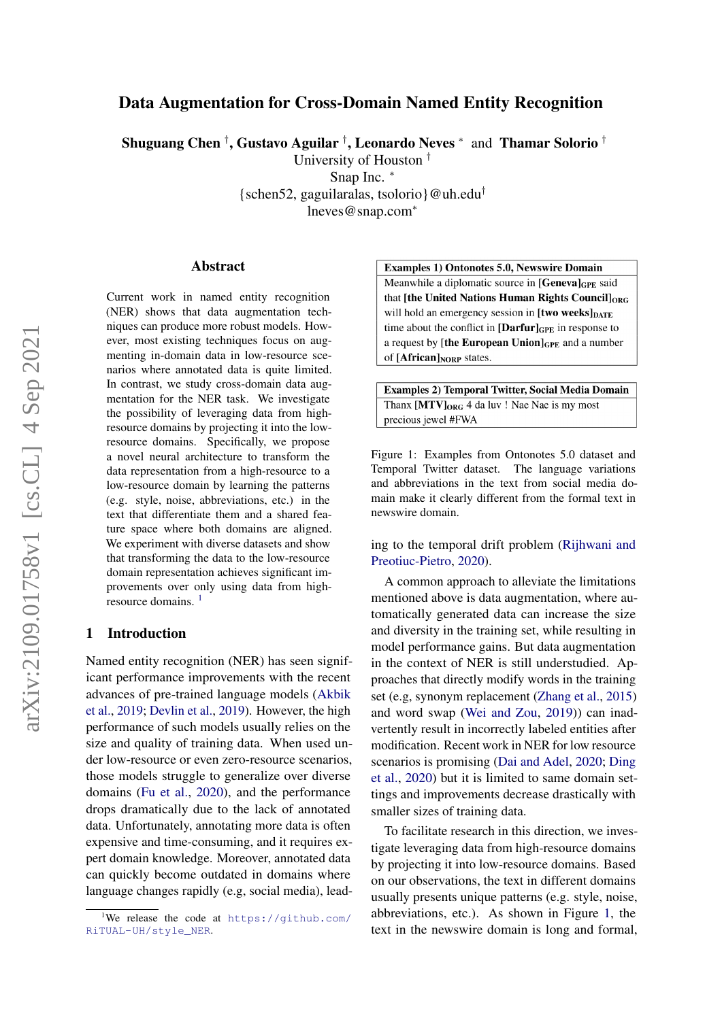# Data Augmentation for Cross-Domain Named Entity Recognition

Shuguang Chen  $^\dagger,$  Gustavo Aguilar  $^\dagger,$  Leonardo Neves  $^*$  and Thamar Solorio  $^\dagger$ 

University of Houston †

Snap Inc. <sup>∗</sup>

{schen52, gaguilaralas, tsolorio}@uh.edu<sup>†</sup>

lneves@snap.com<sup>∗</sup>

#### Abstract

Current work in named entity recognition (NER) shows that data augmentation techniques can produce more robust models. However, most existing techniques focus on augmenting in-domain data in low-resource scenarios where annotated data is quite limited. In contrast, we study cross-domain data augmentation for the NER task. We investigate the possibility of leveraging data from highresource domains by projecting it into the lowresource domains. Specifically, we propose a novel neural architecture to transform the data representation from a high-resource to a low-resource domain by learning the patterns (e.g. style, noise, abbreviations, etc.) in the text that differentiate them and a shared feature space where both domains are aligned. We experiment with diverse datasets and show that transforming the data to the low-resource domain representation achieves significant improvements over only using data from high-resource domains.<sup>[1](#page-0-0)</sup>

# 1 Introduction

Named entity recognition (NER) has seen significant performance improvements with the recent advances of pre-trained language models [\(Akbik](#page-8-0) [et al.,](#page-8-0) [2019;](#page-8-0) [Devlin et al.,](#page-8-1) [2019\)](#page-8-1). However, the high performance of such models usually relies on the size and quality of training data. When used under low-resource or even zero-resource scenarios, those models struggle to generalize over diverse domains [\(Fu et al.,](#page-8-2) [2020\)](#page-8-2), and the performance drops dramatically due to the lack of annotated data. Unfortunately, annotating more data is often expensive and time-consuming, and it requires expert domain knowledge. Moreover, annotated data can quickly become outdated in domains where language changes rapidly (e.g, social media), lead-

#### <span id="page-0-1"></span>**Examples 1) Ontonotes 5.0, Newswire Domain**

Meanwhile a diplomatic source in [Genevalger said] that [the United Nations Human Rights Council]<sub>ORG</sub> will hold an emergency session in [two weeks]<sub>DATE</sub> time about the conflict in  $\left[\text{Darfur}\right]_{\text{GPE}}$  in response to a request by [the European Union] $_{GPE}$  and a number of  $[Affican]_{\text{NORP}}$  states.

**Examples 2) Temporal Twitter, Social Media Domain** Thanx [MTV]<sub>ORG</sub> 4 da luv ! Nae Nae is my most precious jewel #FWA

Figure 1: Examples from Ontonotes 5.0 dataset and Temporal Twitter dataset. The language variations and abbreviations in the text from social media domain make it clearly different from the formal text in newswire domain.

ing to the temporal drift problem [\(Rijhwani and](#page-9-0) [Preotiuc-Pietro,](#page-9-0) [2020\)](#page-9-0).

A common approach to alleviate the limitations mentioned above is data augmentation, where automatically generated data can increase the size and diversity in the training set, while resulting in model performance gains. But data augmentation in the context of NER is still understudied. Approaches that directly modify words in the training set (e.g, synonym replacement [\(Zhang et al.,](#page-9-1) [2015\)](#page-9-1) and word swap [\(Wei and Zou,](#page-9-2) [2019\)](#page-9-2)) can inadvertently result in incorrectly labeled entities after modification. Recent work in NER for low resource scenarios is promising [\(Dai and Adel,](#page-8-3) [2020;](#page-8-3) [Ding](#page-8-4) [et al.,](#page-8-4) [2020\)](#page-8-4) but it is limited to same domain settings and improvements decrease drastically with smaller sizes of training data.

To facilitate research in this direction, we investigate leveraging data from high-resource domains by projecting it into low-resource domains. Based on our observations, the text in different domains usually presents unique patterns (e.g. style, noise, abbreviations, etc.). As shown in Figure [1,](#page-0-1) the text in the newswire domain is long and formal,

<span id="page-0-0"></span><sup>&</sup>lt;sup>1</sup>We release the code at  $https://github.com/$ [RiTUAL-UH/style\\_NER](https://github.com/RiTUAL-UH/style_NER).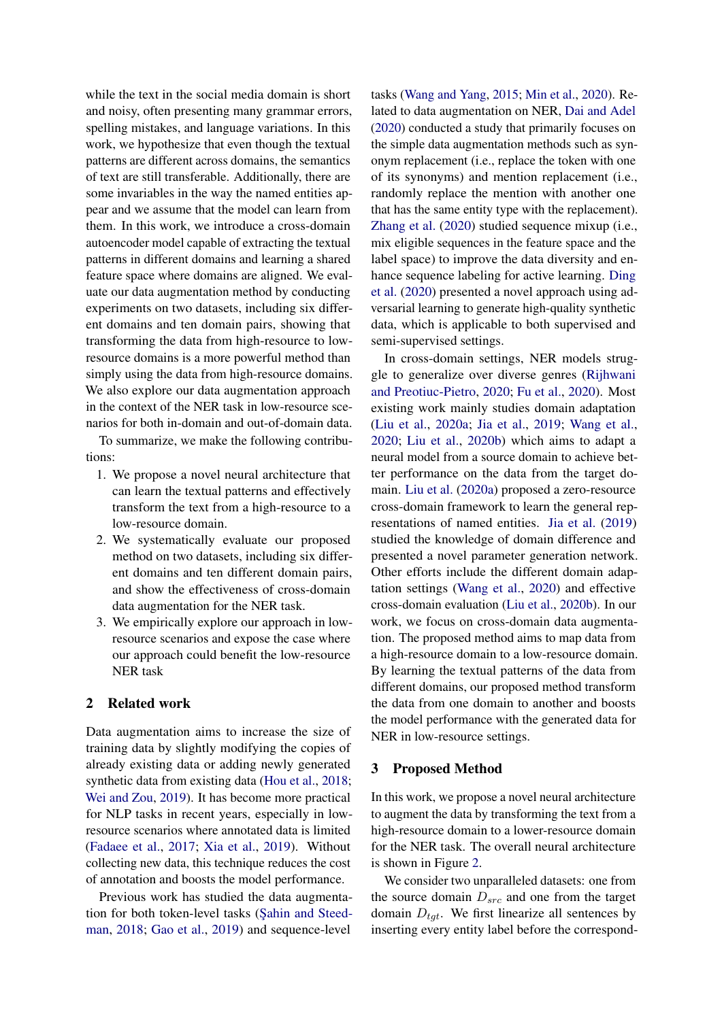while the text in the social media domain is short and noisy, often presenting many grammar errors, spelling mistakes, and language variations. In this work, we hypothesize that even though the textual patterns are different across domains, the semantics of text are still transferable. Additionally, there are some invariables in the way the named entities appear and we assume that the model can learn from them. In this work, we introduce a cross-domain autoencoder model capable of extracting the textual patterns in different domains and learning a shared feature space where domains are aligned. We evaluate our data augmentation method by conducting experiments on two datasets, including six different domains and ten domain pairs, showing that transforming the data from high-resource to lowresource domains is a more powerful method than simply using the data from high-resource domains. We also explore our data augmentation approach in the context of the NER task in low-resource scenarios for both in-domain and out-of-domain data.

To summarize, we make the following contributions:

- 1. We propose a novel neural architecture that can learn the textual patterns and effectively transform the text from a high-resource to a low-resource domain.
- 2. We systematically evaluate our proposed method on two datasets, including six different domains and ten different domain pairs, and show the effectiveness of cross-domain data augmentation for the NER task.
- 3. We empirically explore our approach in lowresource scenarios and expose the case where our approach could benefit the low-resource NER task

### 2 Related work

Data augmentation aims to increase the size of training data by slightly modifying the copies of already existing data or adding newly generated synthetic data from existing data [\(Hou et al.,](#page-8-5) [2018;](#page-8-5) [Wei and Zou,](#page-9-2) [2019\)](#page-9-2). It has become more practical for NLP tasks in recent years, especially in lowresource scenarios where annotated data is limited [\(Fadaee et al.,](#page-8-6) [2017;](#page-8-6) [Xia et al.,](#page-9-3) [2019\)](#page-9-3). Without collecting new data, this technique reduces the cost of annotation and boosts the model performance.

Previous work has studied the data augmentation for both token-level tasks (Sahin and Steed[man,](#page-9-4) [2018;](#page-9-4) [Gao et al.,](#page-8-7) [2019\)](#page-8-7) and sequence-level

tasks [\(Wang and Yang,](#page-9-5) [2015;](#page-9-5) [Min et al.,](#page-8-8) [2020\)](#page-8-8). Related to data augmentation on NER, [Dai and Adel](#page-8-3) [\(2020\)](#page-8-3) conducted a study that primarily focuses on the simple data augmentation methods such as synonym replacement (i.e., replace the token with one of its synonyms) and mention replacement (i.e., randomly replace the mention with another one that has the same entity type with the replacement). [Zhang et al.](#page-9-6) [\(2020\)](#page-9-6) studied sequence mixup (i.e., mix eligible sequences in the feature space and the label space) to improve the data diversity and enhance sequence labeling for active learning. [Ding](#page-8-4) [et al.](#page-8-4) [\(2020\)](#page-8-4) presented a novel approach using adversarial learning to generate high-quality synthetic data, which is applicable to both supervised and semi-supervised settings.

In cross-domain settings, NER models struggle to generalize over diverse genres [\(Rijhwani](#page-9-0) [and Preotiuc-Pietro,](#page-9-0) [2020;](#page-9-0) [Fu et al.,](#page-8-2) [2020\)](#page-8-2). Most existing work mainly studies domain adaptation [\(Liu et al.,](#page-8-9) [2020a;](#page-8-9) [Jia et al.,](#page-8-10) [2019;](#page-8-10) [Wang et al.,](#page-9-7) [2020;](#page-9-7) [Liu et al.,](#page-8-11) [2020b\)](#page-8-11) which aims to adapt a neural model from a source domain to achieve better performance on the data from the target domain. [Liu et al.](#page-8-9) [\(2020a\)](#page-8-9) proposed a zero-resource cross-domain framework to learn the general representations of named entities. [Jia et al.](#page-8-10) [\(2019\)](#page-8-10) studied the knowledge of domain difference and presented a novel parameter generation network. Other efforts include the different domain adaptation settings [\(Wang et al.,](#page-9-7) [2020\)](#page-9-7) and effective cross-domain evaluation [\(Liu et al.,](#page-8-11) [2020b\)](#page-8-11). In our work, we focus on cross-domain data augmentation. The proposed method aims to map data from a high-resource domain to a low-resource domain. By learning the textual patterns of the data from different domains, our proposed method transform the data from one domain to another and boosts the model performance with the generated data for NER in low-resource settings.

### 3 Proposed Method

In this work, we propose a novel neural architecture to augment the data by transforming the text from a high-resource domain to a lower-resource domain for the NER task. The overall neural architecture is shown in Figure [2.](#page-2-0)

We consider two unparalleled datasets: one from the source domain  $D_{src}$  and one from the target domain  $D_{tqt}$ . We first linearize all sentences by inserting every entity label before the correspond-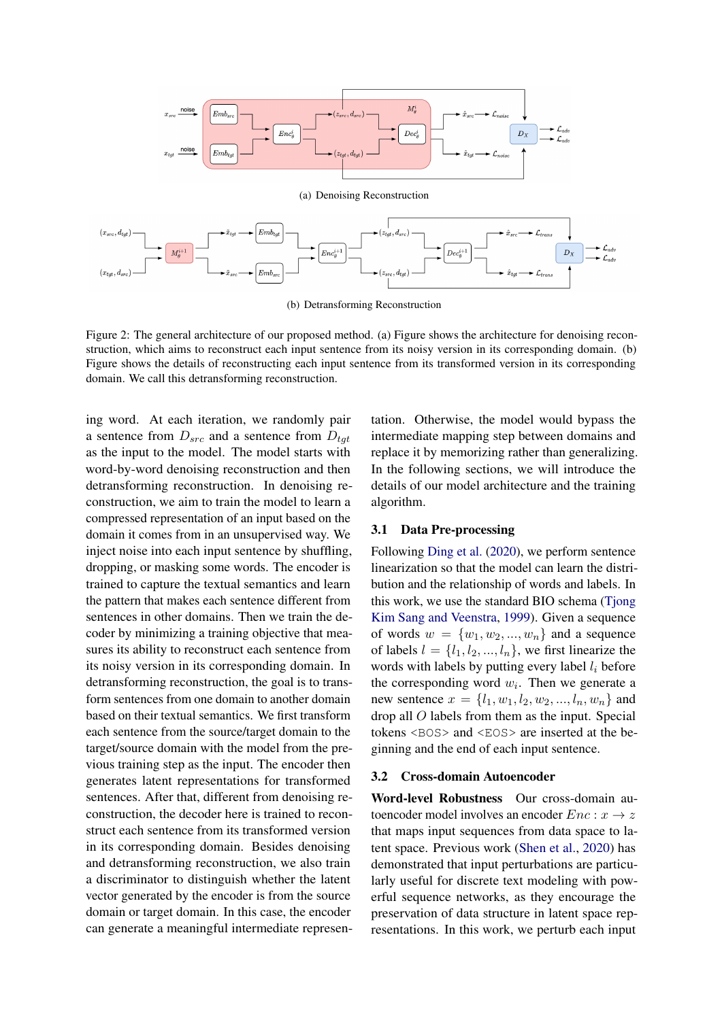<span id="page-2-1"></span><span id="page-2-0"></span>

(b) Detransforming Reconstruction

<span id="page-2-2"></span>Figure 2: The general architecture of our proposed method. (a) Figure shows the architecture for denoising reconstruction, which aims to reconstruct each input sentence from its noisy version in its corresponding domain. (b) Figure shows the details of reconstructing each input sentence from its transformed version in its corresponding domain. We call this detransforming reconstruction.

ing word. At each iteration, we randomly pair a sentence from  $D_{src}$  and a sentence from  $D_{tgt}$ as the input to the model. The model starts with word-by-word denoising reconstruction and then detransforming reconstruction. In denoising reconstruction, we aim to train the model to learn a compressed representation of an input based on the domain it comes from in an unsupervised way. We inject noise into each input sentence by shuffling, dropping, or masking some words. The encoder is trained to capture the textual semantics and learn the pattern that makes each sentence different from sentences in other domains. Then we train the decoder by minimizing a training objective that measures its ability to reconstruct each sentence from its noisy version in its corresponding domain. In detransforming reconstruction, the goal is to transform sentences from one domain to another domain based on their textual semantics. We first transform each sentence from the source/target domain to the target/source domain with the model from the previous training step as the input. The encoder then generates latent representations for transformed sentences. After that, different from denoising reconstruction, the decoder here is trained to reconstruct each sentence from its transformed version in its corresponding domain. Besides denoising and detransforming reconstruction, we also train a discriminator to distinguish whether the latent vector generated by the encoder is from the source domain or target domain. In this case, the encoder can generate a meaningful intermediate representation. Otherwise, the model would bypass the intermediate mapping step between domains and replace it by memorizing rather than generalizing. In the following sections, we will introduce the details of our model architecture and the training algorithm.

#### 3.1 Data Pre-processing

Following [Ding et al.](#page-8-4) [\(2020\)](#page-8-4), we perform sentence linearization so that the model can learn the distribution and the relationship of words and labels. In this work, we use the standard BIO schema [\(Tjong](#page-9-8) [Kim Sang and Veenstra,](#page-9-8) [1999\)](#page-9-8). Given a sequence of words  $w = \{w_1, w_2, ..., w_n\}$  and a sequence of labels  $l = \{l_1, l_2, ..., l_n\}$ , we first linearize the words with labels by putting every label  $l_i$  before the corresponding word  $w_i$ . Then we generate a new sentence  $x = \{l_1, w_1, l_2, w_2, ..., l_n, w_n\}$  and drop all O labels from them as the input. Special tokens <BOS> and <EOS> are inserted at the beginning and the end of each input sentence.

#### <span id="page-2-3"></span>3.2 Cross-domain Autoencoder

Word-level Robustness Our cross-domain autoencoder model involves an encoder  $Enc: x \rightarrow z$ that maps input sequences from data space to latent space. Previous work [\(Shen et al.,](#page-9-9) [2020\)](#page-9-9) has demonstrated that input perturbations are particularly useful for discrete text modeling with powerful sequence networks, as they encourage the preservation of data structure in latent space representations. In this work, we perturb each input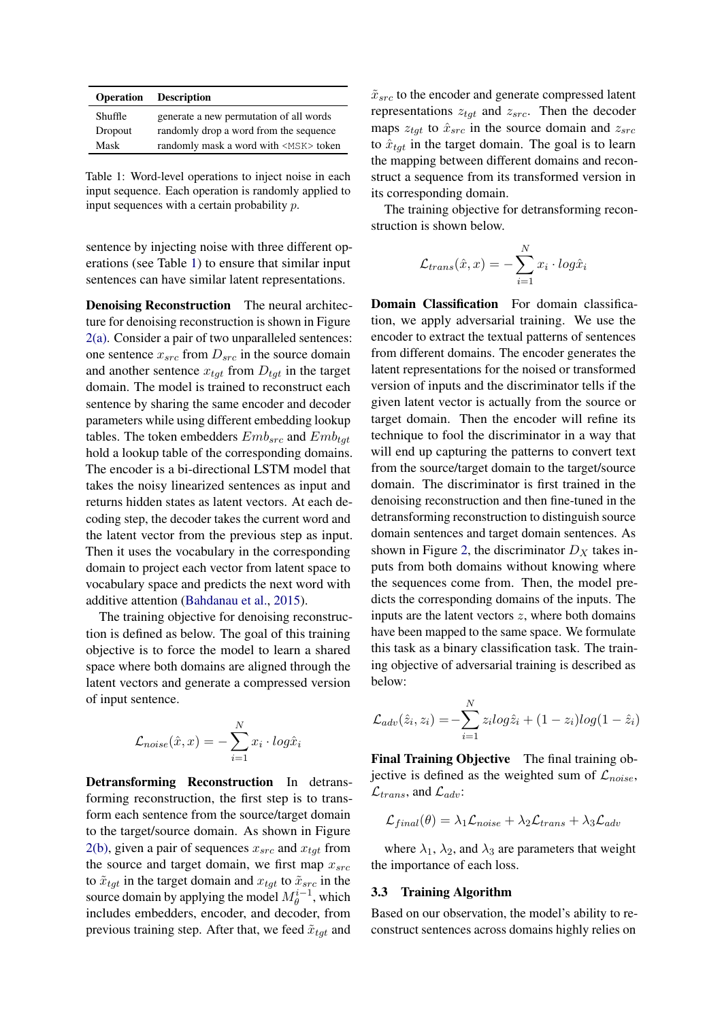<span id="page-3-0"></span>

|         | <b>Operation</b> Description                |
|---------|---------------------------------------------|
| Shuffle | generate a new permutation of all words     |
| Dropout | randomly drop a word from the sequence      |
| Mask    | randomly mask a word with <msk> token</msk> |

Table 1: Word-level operations to inject noise in each input sequence. Each operation is randomly applied to input sequences with a certain probability p.

sentence by injecting noise with three different operations (see Table [1\)](#page-3-0) to ensure that similar input sentences can have similar latent representations.

Denoising Reconstruction The neural architecture for denoising reconstruction is shown in Figure [2\(a\).](#page-2-1) Consider a pair of two unparalleled sentences: one sentence  $x_{src}$  from  $D_{src}$  in the source domain and another sentence  $x_{tqt}$  from  $D_{tqt}$  in the target domain. The model is trained to reconstruct each sentence by sharing the same encoder and decoder parameters while using different embedding lookup tables. The token embedders  $Emb_{src}$  and  $Emb_{tgt}$ hold a lookup table of the corresponding domains. The encoder is a bi-directional LSTM model that takes the noisy linearized sentences as input and returns hidden states as latent vectors. At each decoding step, the decoder takes the current word and the latent vector from the previous step as input. Then it uses the vocabulary in the corresponding domain to project each vector from latent space to vocabulary space and predicts the next word with additive attention [\(Bahdanau et al.,](#page-8-12) [2015\)](#page-8-12).

The training objective for denoising reconstruction is defined as below. The goal of this training objective is to force the model to learn a shared space where both domains are aligned through the latent vectors and generate a compressed version of input sentence.

$$
\mathcal{L}_{noise}(\hat{x}, x) = -\sum_{i=1}^{N} x_i \cdot log\hat{x}_i
$$

Detransforming Reconstruction In detransforming reconstruction, the first step is to transform each sentence from the source/target domain to the target/source domain. As shown in Figure [2\(b\),](#page-2-2) given a pair of sequences  $x_{src}$  and  $x_{tat}$  from the source and target domain, we first map  $x_{src}$ to  $\tilde{x}_{tot}$  in the target domain and  $x_{tot}$  to  $\tilde{x}_{src}$  in the source domain by applying the model  $M_{\theta}^{i-1}$ , which includes embedders, encoder, and decoder, from previous training step. After that, we feed  $\tilde{x}_{tqt}$  and

 $\tilde{x}_{src}$  to the encoder and generate compressed latent representations  $z_{tgt}$  and  $z_{src}$ . Then the decoder maps  $z_{tot}$  to  $\hat{x}_{src}$  in the source domain and  $z_{src}$ to  $\hat{x}_{tot}$  in the target domain. The goal is to learn the mapping between different domains and reconstruct a sequence from its transformed version in its corresponding domain.

The training objective for detransforming reconstruction is shown below.

$$
\mathcal{L}_{trans}(\hat{x}, x) = -\sum_{i=1}^{N} x_i \cdot log\hat{x}_i
$$

Domain Classification For domain classification, we apply adversarial training. We use the encoder to extract the textual patterns of sentences from different domains. The encoder generates the latent representations for the noised or transformed version of inputs and the discriminator tells if the given latent vector is actually from the source or target domain. Then the encoder will refine its technique to fool the discriminator in a way that will end up capturing the patterns to convert text from the source/target domain to the target/source domain. The discriminator is first trained in the denoising reconstruction and then fine-tuned in the detransforming reconstruction to distinguish source domain sentences and target domain sentences. As shown in Figure [2,](#page-2-0) the discriminator  $D_X$  takes inputs from both domains without knowing where the sequences come from. Then, the model predicts the corresponding domains of the inputs. The inputs are the latent vectors  $z$ , where both domains have been mapped to the same space. We formulate this task as a binary classification task. The training objective of adversarial training is described as below:

$$
\mathcal{L}_{adv}(\hat{z}_i, z_i) = -\sum_{i=1}^{N} z_i log \hat{z}_i + (1 - z_i) log(1 - \hat{z}_i)
$$

Final Training Objective The final training objective is defined as the weighted sum of  $\mathcal{L}_{noise}$ ,  $\mathcal{L}_{trans}$ , and  $\mathcal{L}_{adv}$ :

$$
\mathcal{L}_{final}(\theta) = \lambda_1 \mathcal{L}_{noise} + \lambda_2 \mathcal{L}_{trans} + \lambda_3 \mathcal{L}_{adv}
$$

where  $\lambda_1$ ,  $\lambda_2$ , and  $\lambda_3$  are parameters that weight the importance of each loss.

#### 3.3 Training Algorithm

Based on our observation, the model's ability to reconstruct sentences across domains highly relies on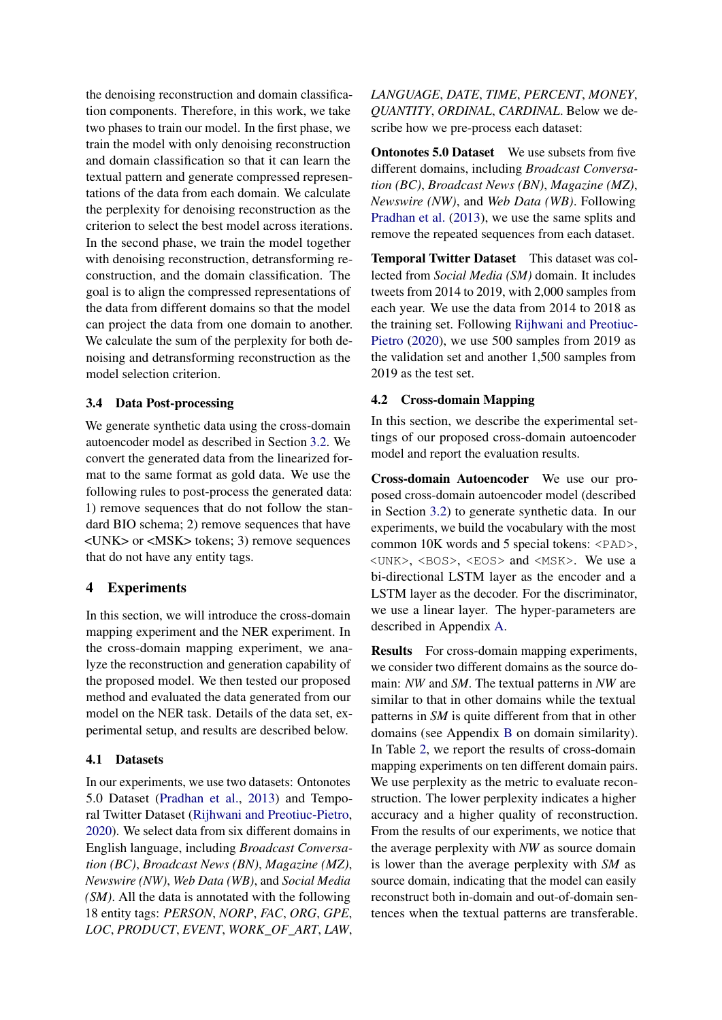the denoising reconstruction and domain classification components. Therefore, in this work, we take two phases to train our model. In the first phase, we train the model with only denoising reconstruction and domain classification so that it can learn the textual pattern and generate compressed representations of the data from each domain. We calculate the perplexity for denoising reconstruction as the criterion to select the best model across iterations. In the second phase, we train the model together with denoising reconstruction, detransforming reconstruction, and the domain classification. The goal is to align the compressed representations of the data from different domains so that the model can project the data from one domain to another. We calculate the sum of the perplexity for both denoising and detransforming reconstruction as the model selection criterion.

# 3.4 Data Post-processing

We generate synthetic data using the cross-domain autoencoder model as described in Section [3.2.](#page-2-3) We convert the generated data from the linearized format to the same format as gold data. We use the following rules to post-process the generated data: 1) remove sequences that do not follow the standard BIO schema; 2) remove sequences that have <UNK> or <MSK> tokens; 3) remove sequences that do not have any entity tags.

# 4 Experiments

In this section, we will introduce the cross-domain mapping experiment and the NER experiment. In the cross-domain mapping experiment, we analyze the reconstruction and generation capability of the proposed model. We then tested our proposed method and evaluated the data generated from our model on the NER task. Details of the data set, experimental setup, and results are described below.

# 4.1 Datasets

In our experiments, we use two datasets: Ontonotes 5.0 Dataset [\(Pradhan et al.,](#page-9-10) [2013\)](#page-9-10) and Temporal Twitter Dataset [\(Rijhwani and Preotiuc-Pietro,](#page-9-0) [2020\)](#page-9-0). We select data from six different domains in English language, including *Broadcast Conversation (BC)*, *Broadcast News (BN)*, *Magazine (MZ)*, *Newswire (NW)*, *Web Data (WB)*, and *Social Media (SM)*. All the data is annotated with the following 18 entity tags: *PERSON*, *NORP*, *FAC*, *ORG*, *GPE*, *LOC*, *PRODUCT*, *EVENT*, *WORK\_OF\_ART*, *LAW*, *LANGUAGE*, *DATE*, *TIME*, *PERCENT*, *MONEY*, *QUANTITY*, *ORDINAL*, *CARDINAL*. Below we describe how we pre-process each dataset:

Ontonotes 5.0 Dataset We use subsets from five different domains, including *Broadcast Conversation (BC)*, *Broadcast News (BN)*, *Magazine (MZ)*, *Newswire (NW)*, and *Web Data (WB)*. Following [Pradhan et al.](#page-9-10) [\(2013\)](#page-9-10), we use the same splits and remove the repeated sequences from each dataset.

Temporal Twitter Dataset This dataset was collected from *Social Media (SM)* domain. It includes tweets from 2014 to 2019, with 2,000 samples from each year. We use the data from 2014 to 2018 as the training set. Following [Rijhwani and Preotiuc-](#page-9-0)[Pietro](#page-9-0) [\(2020\)](#page-9-0), we use 500 samples from 2019 as the validation set and another 1,500 samples from 2019 as the test set.

# 4.2 Cross-domain Mapping

In this section, we describe the experimental settings of our proposed cross-domain autoencoder model and report the evaluation results.

Cross-domain Autoencoder We use our proposed cross-domain autoencoder model (described in Section [3.2\)](#page-2-3) to generate synthetic data. In our experiments, we build the vocabulary with the most common 10K words and 5 special tokens:  $\langle \text{PAD} \rangle$ , <UNK>, <BOS>, <EOS> and <MSK>. We use a bi-directional LSTM layer as the encoder and a LSTM layer as the decoder. For the discriminator, we use a linear layer. The hyper-parameters are described in Appendix [A.](#page-9-11)

Results For cross-domain mapping experiments, we consider two different domains as the source domain: *NW* and *SM*. The textual patterns in *NW* are similar to that in other domains while the textual patterns in *SM* is quite different from that in other domains (see Appendix [B](#page-9-12) on domain similarity). In Table [2,](#page-5-0) we report the results of cross-domain mapping experiments on ten different domain pairs. We use perplexity as the metric to evaluate reconstruction. The lower perplexity indicates a higher accuracy and a higher quality of reconstruction. From the results of our experiments, we notice that the average perplexity with *NW* as source domain is lower than the average perplexity with *SM* as source domain, indicating that the model can easily reconstruct both in-domain and out-of-domain sentences when the textual patterns are transferable.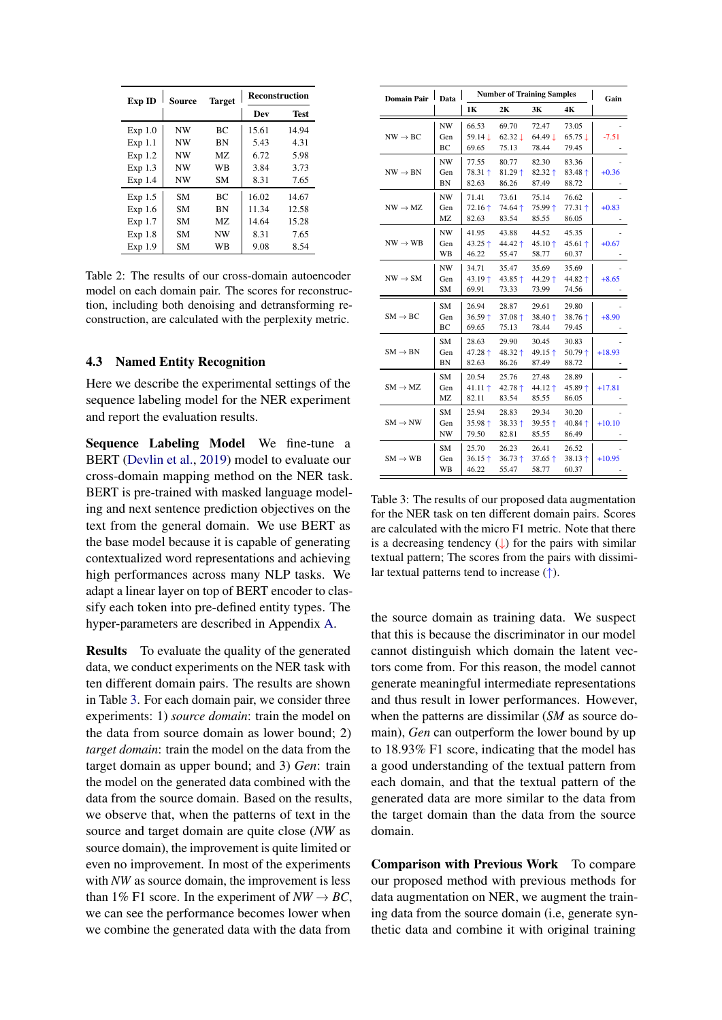<span id="page-5-0"></span>

| Exp ID  | Source    | <b>Target</b> | <b>Reconstruction</b> |       |  |
|---------|-----------|---------------|-----------------------|-------|--|
|         |           |               | Dev                   | Test  |  |
| Exp 1.0 | <b>NW</b> | ВC            | 15.61                 | 14.94 |  |
| Exp 1.1 | <b>NW</b> | <b>BN</b>     | 5.43                  | 4.31  |  |
| Exp 1.2 | NW        | M7.           | 6.72                  | 5.98  |  |
| Exp 1.3 | NW        | WB            | 3.84                  | 3.73  |  |
| Exp 1.4 | NW        | SМ            | 8.31                  | 7.65  |  |
| Exp 1.5 | SМ        | ВC            | 16.02                 | 14.67 |  |
| Exp 1.6 | SМ        | BN            | 11.34                 | 12.58 |  |
| Exp 1.7 | SМ        | MZ.           | 14.64                 | 15.28 |  |
| Exp 1.8 | SМ        | <b>NW</b>     | 8.31                  | 7.65  |  |
| Exp 1.9 | SМ        | WB            | 9.08                  | 8.54  |  |

Table 2: The results of our cross-domain autoencoder model on each domain pair. The scores for reconstruction, including both denoising and detransforming reconstruction, are calculated with the perplexity metric.

#### 4.3 Named Entity Recognition

Here we describe the experimental settings of the sequence labeling model for the NER experiment and report the evaluation results.

Sequence Labeling Model We fine-tune a BERT [\(Devlin et al.,](#page-8-1) [2019\)](#page-8-1) model to evaluate our cross-domain mapping method on the NER task. BERT is pre-trained with masked language modeling and next sentence prediction objectives on the text from the general domain. We use BERT as the base model because it is capable of generating contextualized word representations and achieving high performances across many NLP tasks. We adapt a linear layer on top of BERT encoder to classify each token into pre-defined entity types. The hyper-parameters are described in Appendix [A.](#page-9-11)

Results To evaluate the quality of the generated data, we conduct experiments on the NER task with ten different domain pairs. The results are shown in Table [3.](#page-5-1) For each domain pair, we consider three experiments: 1) *source domain*: train the model on the data from source domain as lower bound; 2) *target domain*: train the model on the data from the target domain as upper bound; and 3) *Gen*: train the model on the generated data combined with the data from the source domain. Based on the results, we observe that, when the patterns of text in the source and target domain are quite close (*NW* as source domain), the improvement is quite limited or even no improvement. In most of the experiments with *NW* as source domain, the improvement is less than 1% F1 score. In the experiment of  $NW \rightarrow BC$ , we can see the performance becomes lower when we combine the generated data with the data from

<span id="page-5-1"></span>

| Domain Pair         | <b>Number of Training Samples</b><br>Data |                                      |                                      |                             |                                      | Gain     |
|---------------------|-------------------------------------------|--------------------------------------|--------------------------------------|-----------------------------|--------------------------------------|----------|
|                     |                                           | 1К                                   | 2К                                   | 3К                          | 4K                                   |          |
| $NW \rightarrow BC$ | NW<br>Gen<br>BC                           | 66.53<br>59.14↓<br>69.65             | 69.70<br>$62.32 \downarrow$<br>75.13 | 72.47<br>64.49 ↓<br>78.44   | 73.05<br>$65.75 \downarrow$<br>79.45 | $-7.51$  |
| $NW \rightarrow BN$ | <b>NW</b><br>Gen<br><b>BN</b>             | 77.55<br>78.31 ↑<br>82.63            | 80.77<br>$81.29$ ↑<br>86.26          | 82.30<br>82.32 ↑<br>87.49   | 83.36<br>83.48 ↑<br>88.72            | $+0.36$  |
| $NW \rightarrow MZ$ | <b>NW</b><br>Gen<br>MZ                    | 71.41<br>$72.16 \text{ }^+$<br>82.63 | 73.61<br>$74.64 \uparrow$<br>83.54   | 75.14<br>75.99 ↑<br>85.55   | 76.62<br>77.31 ↑<br>86.05            | $+0.83$  |
| $NW \rightarrow WB$ | NW<br>Gen<br>WВ                           | 41.95<br>43.25 ↑<br>46.22            | 43.88<br>44.42 ↑<br>55.47            | 44.52<br>45.10 ↑<br>58.77   | 45.35<br>45.61 ↑<br>60.37            | $+0.67$  |
| $NW \rightarrow SM$ | NW<br>Gen<br>SM                           | 34.71<br>43.19个<br>69.91             | 35.47<br>43.85 ↑<br>73.33            | 35.69<br>44.29 ↑<br>73.99   | 35.69<br>44.82 ↑<br>74.56            | $+8.65$  |
| $SM \rightarrow BC$ | SM<br>Gen<br>BC                           | 26.94<br>36.59 ↑<br>69.65            | 28.87<br>$37.08 +$<br>75.13          | 29.61<br>38.40 ↑<br>78.44   | 29.80<br>38.76 ↑<br>79.45            | $+8.90$  |
| $SM \rightarrow BN$ | SM<br>Gen<br>ΒN                           | 28.63<br>47.28 ↑<br>82.63            | 29.90<br>48.32 ↑<br>86.26            | 30.45<br>49.15 ↑<br>87.49   | 30.83<br>$50.79 +$<br>88.72          | $+18.93$ |
| $SM \rightarrow MZ$ | <b>SM</b><br>Gen<br>MZ                    | 20.54<br>41.11 ↑<br>82.11            | 25.76<br>42.78 ↑<br>83.54            | 27.48<br>44.12 ↑<br>85.55   | 28.89<br>45.89 ↑<br>86.05            | $+17.81$ |
| $SM \rightarrow NW$ | SM.<br>Gen<br><b>NW</b>                   | 25.94<br>35.98 $\dagger$<br>79.50    | 28.83<br>$38.33 \uparrow$<br>82.81   | 29.34<br>39.55 ↑<br>85.55   | 30.20<br>40.84 ↑<br>86.49            | $+10.10$ |
| $SM \rightarrow WB$ | SM<br>Gen<br>WB                           | 25.70<br>$36.15 +$<br>46.22          | 26.23<br>$36.73 +$<br>55.47          | 26.41<br>37.65 $+$<br>58.77 | 26.52<br>38.13个<br>60.37             | $+10.95$ |

Table 3: The results of our proposed data augmentation for the NER task on ten different domain pairs. Scores are calculated with the micro F1 metric. Note that there is a decreasing tendency  $(\downarrow)$  for the pairs with similar textual pattern; The scores from the pairs with dissimilar textual patterns tend to increase  $(†)$ .

the source domain as training data. We suspect that this is because the discriminator in our model cannot distinguish which domain the latent vectors come from. For this reason, the model cannot generate meaningful intermediate representations and thus result in lower performances. However, when the patterns are dissimilar (*SM* as source domain), *Gen* can outperform the lower bound by up to 18.93% F1 score, indicating that the model has a good understanding of the textual pattern from each domain, and that the textual pattern of the generated data are more similar to the data from the target domain than the data from the source domain.

Comparison with Previous Work To compare our proposed method with previous methods for data augmentation on NER, we augment the training data from the source domain (i.e, generate synthetic data and combine it with original training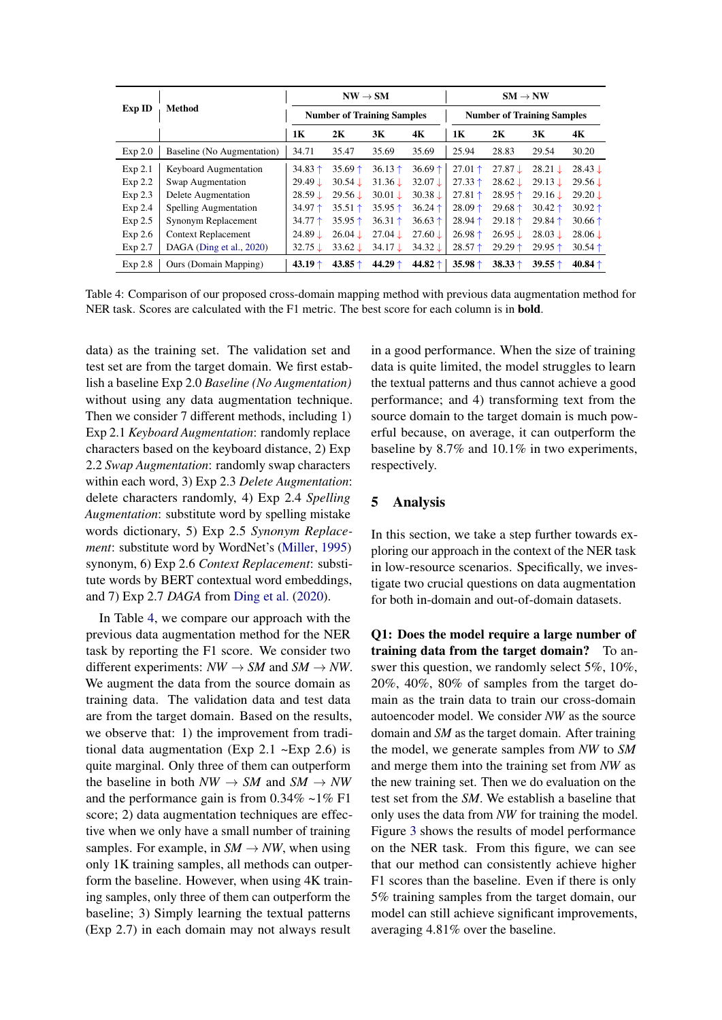<span id="page-6-0"></span>

|         | Method                       | $NW \rightarrow SM$               |                    |                    | $SM \rightarrow NW$ |                                   |                         |                         |                    |
|---------|------------------------------|-----------------------------------|--------------------|--------------------|---------------------|-----------------------------------|-------------------------|-------------------------|--------------------|
| Exp ID  |                              | <b>Number of Training Samples</b> |                    |                    |                     | <b>Number of Training Samples</b> |                         |                         |                    |
|         |                              | 1K                                | 2K                 | 3K                 | 4K                  | 1К                                | 2K                      | 3К                      | 4K                 |
| Exp 2.0 | Baseline (No Augmentation)   | 34.71                             | 35.47              | 35.69              | 35.69               | 25.94                             | 28.83                   | 29.54                   | 30.20              |
| Exp 2.1 | <b>Keyboard Augmentation</b> | 34.83 $\dagger$                   | 35.69 $\uparrow$   | 36.13 $\dagger$    | $36.69 \text{ +}$   | $27.01 \text{ }^{\text{+}}$       | $27.87 \downarrow$      | $28.21 \downarrow$      | $28.43 \downarrow$ |
| Exp 2.2 | Swap Augmentation            | $29.49 \downarrow$                | 30.54 L            | 31.36 L            | $32.07 \downarrow$  | $27.33 \uparrow$                  | $28.62 \downarrow$      | 29.13 L                 | $29.56 \downarrow$ |
| Exp 2.3 | Delete Augmentation          | 28.59 L                           | 29.56 L            | $30.01 \perp$      | $30.38 \downarrow$  | $27.81 \text{ }$                  | $28.95 \uparrow$        | 29.16 L                 | 29.20 ↓            |
| Exp 2.4 | <b>Spelling Augmentation</b> | 34.97 $\dagger$                   | 35.51 $\dagger$    | 35.95 $\uparrow$   | $36.24 \uparrow$    | $28.09 \text{ +}$                 | $29.68 \uparrow$        | $30.42 \text{ }^{\ast}$ | 30.92 $\dagger$    |
| Exp 2.5 | Synonym Replacement          | $34.77 \text{ }$                  | 35.95 $\dagger$    | $36.31 \uparrow$   | 36.63 $\uparrow$    | $28.94 \uparrow$                  | $29.18 \text{ +}$       | $29.84 \uparrow$        | 30.66 $\uparrow$   |
| Exp 2.6 | <b>Context Replacement</b>   | $24.89 \downarrow$                | $26.04 \downarrow$ | $27.04 \downarrow$ | $27.60 \downarrow$  | $26.98 \uparrow$                  | $26.95 \downarrow$      | 28.03 L                 | $28.06 \downarrow$ |
| Exp 2.7 | DAGA (Ding et al., 2020)     | $32.75 \downarrow$                | $33.62 \downarrow$ | $34.17 \downarrow$ | $34.32 \downarrow$  | $28.57 \uparrow$                  | $29.29 \text{ }^{\ast}$ | $29.95 \uparrow$        | 30.54 $\uparrow$   |
| Exp 2.8 | Ours (Domain Mapping)        | 43.19 $\dagger$                   | 43.85 $\dagger$    | 44.29 $\dagger$    | 44.82 $\dagger$     | 35.98 $\dagger$                   | $38.33 \uparrow$        | 39.55 $\dagger$         | 40.84 $\uparrow$   |

Table 4: Comparison of our proposed cross-domain mapping method with previous data augmentation method for NER task. Scores are calculated with the F1 metric. The best score for each column is in **bold**.

data) as the training set. The validation set and test set are from the target domain. We first establish a baseline Exp 2.0 *Baseline (No Augmentation)* without using any data augmentation technique. Then we consider 7 different methods, including 1) Exp 2.1 *Keyboard Augmentation*: randomly replace characters based on the keyboard distance, 2) Exp 2.2 *Swap Augmentation*: randomly swap characters within each word, 3) Exp 2.3 *Delete Augmentation*: delete characters randomly, 4) Exp 2.4 *Spelling Augmentation*: substitute word by spelling mistake words dictionary, 5) Exp 2.5 *Synonym Replacement*: substitute word by WordNet's [\(Miller,](#page-8-13) [1995\)](#page-8-13) synonym, 6) Exp 2.6 *Context Replacement*: substitute words by BERT contextual word embeddings, and 7) Exp 2.7 *DAGA* from [Ding et al.](#page-8-4) [\(2020\)](#page-8-4).

In Table [4,](#page-6-0) we compare our approach with the previous data augmentation method for the NER task by reporting the F1 score. We consider two different experiments:  $NW \rightarrow SM$  and  $SM \rightarrow NW$ . We augment the data from the source domain as training data. The validation data and test data are from the target domain. Based on the results, we observe that: 1) the improvement from traditional data augmentation (Exp 2.1  $\neg$ Exp 2.6) is quite marginal. Only three of them can outperform the baseline in both  $NW \rightarrow SM$  and  $SM \rightarrow NW$ and the performance gain is from  $0.34\% \sim 1\% \text{ F1}$ score; 2) data augmentation techniques are effective when we only have a small number of training samples. For example, in  $SM \rightarrow NW$ , when using only 1K training samples, all methods can outperform the baseline. However, when using 4K training samples, only three of them can outperform the baseline; 3) Simply learning the textual patterns (Exp 2.7) in each domain may not always result

in a good performance. When the size of training data is quite limited, the model struggles to learn the textual patterns and thus cannot achieve a good performance; and 4) transforming text from the source domain to the target domain is much powerful because, on average, it can outperform the baseline by 8.7% and 10.1% in two experiments, respectively.

# 5 Analysis

In this section, we take a step further towards exploring our approach in the context of the NER task in low-resource scenarios. Specifically, we investigate two crucial questions on data augmentation for both in-domain and out-of-domain datasets.

Q1: Does the model require a large number of training data from the target domain? To answer this question, we randomly select 5%, 10%, 20%, 40%, 80% of samples from the target domain as the train data to train our cross-domain autoencoder model. We consider *NW* as the source domain and *SM* as the target domain. After training the model, we generate samples from *NW* to *SM* and merge them into the training set from *NW* as the new training set. Then we do evaluation on the test set from the *SM*. We establish a baseline that only uses the data from *NW* for training the model. Figure [3](#page-7-0) shows the results of model performance on the NER task. From this figure, we can see that our method can consistently achieve higher F1 scores than the baseline. Even if there is only 5% training samples from the target domain, our model can still achieve significant improvements, averaging 4.81% over the baseline.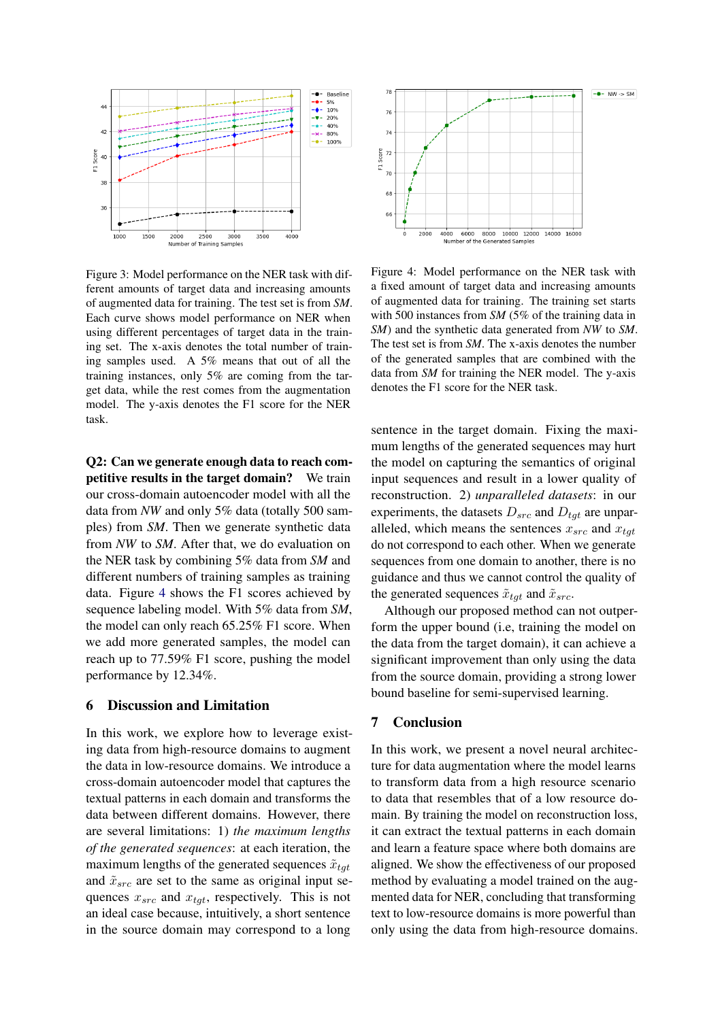<span id="page-7-0"></span>

Figure 3: Model performance on the NER task with different amounts of target data and increasing amounts of augmented data for training. The test set is from *SM*. Each curve shows model performance on NER when using different percentages of target data in the training set. The x-axis denotes the total number of training samples used. A 5% means that out of all the training instances, only 5% are coming from the target data, while the rest comes from the augmentation model. The y-axis denotes the F1 score for the NER task.

Q2: Can we generate enough data to reach competitive results in the target domain? We train our cross-domain autoencoder model with all the data from *NW* and only 5% data (totally 500 samples) from *SM*. Then we generate synthetic data from *NW* to *SM*. After that, we do evaluation on the NER task by combining 5% data from *SM* and different numbers of training samples as training data. Figure [4](#page-7-1) shows the F1 scores achieved by sequence labeling model. With 5% data from *SM*, the model can only reach 65.25% F1 score. When we add more generated samples, the model can reach up to 77.59% F1 score, pushing the model performance by 12.34%.

### 6 Discussion and Limitation

In this work, we explore how to leverage existing data from high-resource domains to augment the data in low-resource domains. We introduce a cross-domain autoencoder model that captures the textual patterns in each domain and transforms the data between different domains. However, there are several limitations: 1) *the maximum lengths of the generated sequences*: at each iteration, the maximum lengths of the generated sequences  $\tilde{x}_{tot}$ and  $\tilde{x}_{src}$  are set to the same as original input sequences  $x_{src}$  and  $x_{tgt}$ , respectively. This is not an ideal case because, intuitively, a short sentence in the source domain may correspond to a long

<span id="page-7-1"></span>

Figure 4: Model performance on the NER task with a fixed amount of target data and increasing amounts of augmented data for training. The training set starts with 500 instances from *SM* (5% of the training data in *SM*) and the synthetic data generated from *NW* to *SM*. The test set is from *SM*. The x-axis denotes the number of the generated samples that are combined with the data from *SM* for training the NER model. The y-axis denotes the F1 score for the NER task.

sentence in the target domain. Fixing the maximum lengths of the generated sequences may hurt the model on capturing the semantics of original input sequences and result in a lower quality of reconstruction. 2) *unparalleled datasets*: in our experiments, the datasets  $D_{src}$  and  $D_{tot}$  are unparalleled, which means the sentences  $x_{src}$  and  $x_{tat}$ do not correspond to each other. When we generate sequences from one domain to another, there is no guidance and thus we cannot control the quality of the generated sequences  $\tilde{x}_{tqt}$  and  $\tilde{x}_{src}$ .

Although our proposed method can not outperform the upper bound (i.e, training the model on the data from the target domain), it can achieve a significant improvement than only using the data from the source domain, providing a strong lower bound baseline for semi-supervised learning.

# 7 Conclusion

In this work, we present a novel neural architecture for data augmentation where the model learns to transform data from a high resource scenario to data that resembles that of a low resource domain. By training the model on reconstruction loss, it can extract the textual patterns in each domain and learn a feature space where both domains are aligned. We show the effectiveness of our proposed method by evaluating a model trained on the augmented data for NER, concluding that transforming text to low-resource domains is more powerful than only using the data from high-resource domains.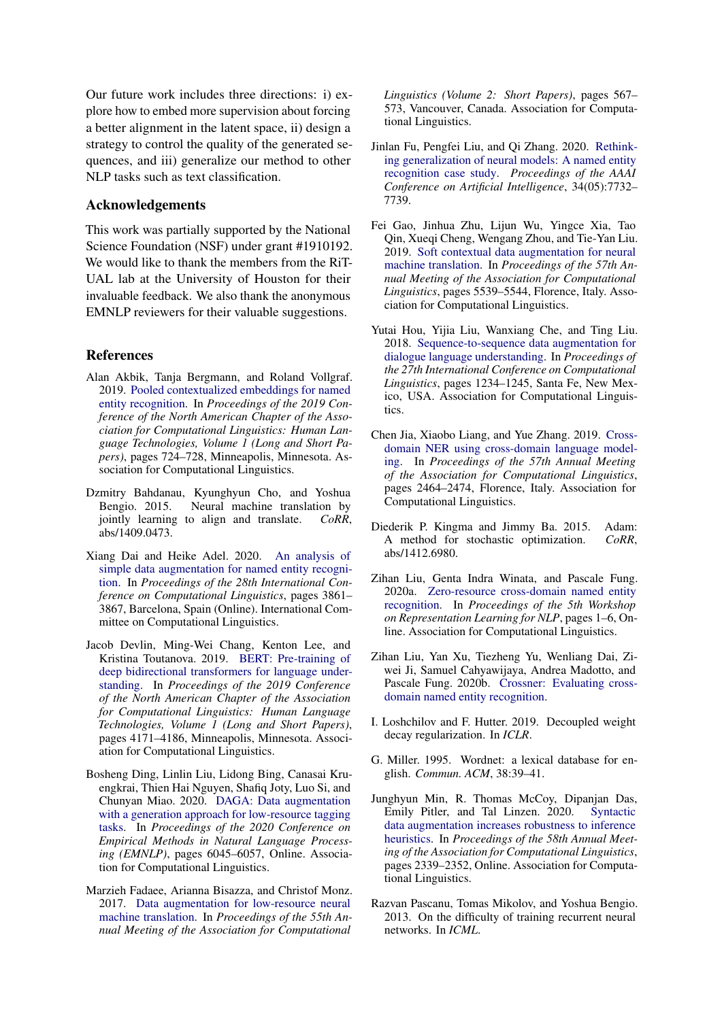Our future work includes three directions: i) explore how to embed more supervision about forcing a better alignment in the latent space, ii) design a strategy to control the quality of the generated sequences, and iii) generalize our method to other NLP tasks such as text classification.

### Acknowledgements

This work was partially supported by the National Science Foundation (NSF) under grant #1910192. We would like to thank the members from the RiT-UAL lab at the University of Houston for their invaluable feedback. We also thank the anonymous EMNLP reviewers for their valuable suggestions.

### **References**

- <span id="page-8-0"></span>Alan Akbik, Tanja Bergmann, and Roland Vollgraf. 2019. [Pooled contextualized embeddings for named](https://doi.org/10.18653/v1/N19-1078) [entity recognition.](https://doi.org/10.18653/v1/N19-1078) In *Proceedings of the 2019 Conference of the North American Chapter of the Association for Computational Linguistics: Human Language Technologies, Volume 1 (Long and Short Papers)*, pages 724–728, Minneapolis, Minnesota. Association for Computational Linguistics.
- <span id="page-8-12"></span>Dzmitry Bahdanau, Kyunghyun Cho, and Yoshua Bengio. 2015. Neural machine translation by jointly learning to align and translate. *CoRR*, abs/1409.0473.
- <span id="page-8-3"></span>Xiang Dai and Heike Adel. 2020. [An analysis of](https://doi.org/10.18653/v1/2020.coling-main.343) [simple data augmentation for named entity recogni](https://doi.org/10.18653/v1/2020.coling-main.343)[tion.](https://doi.org/10.18653/v1/2020.coling-main.343) In *Proceedings of the 28th International Conference on Computational Linguistics*, pages 3861– 3867, Barcelona, Spain (Online). International Committee on Computational Linguistics.
- <span id="page-8-1"></span>Jacob Devlin, Ming-Wei Chang, Kenton Lee, and Kristina Toutanova. 2019. [BERT: Pre-training of](https://doi.org/10.18653/v1/N19-1423) [deep bidirectional transformers for language under](https://doi.org/10.18653/v1/N19-1423)[standing.](https://doi.org/10.18653/v1/N19-1423) In *Proceedings of the 2019 Conference of the North American Chapter of the Association for Computational Linguistics: Human Language Technologies, Volume 1 (Long and Short Papers)*, pages 4171–4186, Minneapolis, Minnesota. Association for Computational Linguistics.
- <span id="page-8-4"></span>Bosheng Ding, Linlin Liu, Lidong Bing, Canasai Kruengkrai, Thien Hai Nguyen, Shafiq Joty, Luo Si, and Chunyan Miao. 2020. [DAGA: Data augmentation](https://doi.org/10.18653/v1/2020.emnlp-main.488) [with a generation approach for low-resource tagging](https://doi.org/10.18653/v1/2020.emnlp-main.488) [tasks.](https://doi.org/10.18653/v1/2020.emnlp-main.488) In *Proceedings of the 2020 Conference on Empirical Methods in Natural Language Processing (EMNLP)*, pages 6045–6057, Online. Association for Computational Linguistics.
- <span id="page-8-6"></span>Marzieh Fadaee, Arianna Bisazza, and Christof Monz. 2017. [Data augmentation for low-resource neural](https://doi.org/10.18653/v1/P17-2090) [machine translation.](https://doi.org/10.18653/v1/P17-2090) In *Proceedings of the 55th Annual Meeting of the Association for Computational*

*Linguistics (Volume 2: Short Papers)*, pages 567– 573, Vancouver, Canada. Association for Computational Linguistics.

- <span id="page-8-2"></span>Jinlan Fu, Pengfei Liu, and Qi Zhang. 2020. [Rethink](https://doi.org/10.1609/aaai.v34i05.6276)[ing generalization of neural models: A named entity](https://doi.org/10.1609/aaai.v34i05.6276) [recognition case study.](https://doi.org/10.1609/aaai.v34i05.6276) *Proceedings of the AAAI Conference on Artificial Intelligence*, 34(05):7732– 7739.
- <span id="page-8-7"></span>Fei Gao, Jinhua Zhu, Lijun Wu, Yingce Xia, Tao Qin, Xueqi Cheng, Wengang Zhou, and Tie-Yan Liu. 2019. [Soft contextual data augmentation for neural](https://doi.org/10.18653/v1/P19-1555) [machine translation.](https://doi.org/10.18653/v1/P19-1555) In *Proceedings of the 57th Annual Meeting of the Association for Computational Linguistics*, pages 5539–5544, Florence, Italy. Association for Computational Linguistics.
- <span id="page-8-5"></span>Yutai Hou, Yijia Liu, Wanxiang Che, and Ting Liu. 2018. [Sequence-to-sequence data augmentation for](https://www.aclweb.org/anthology/C18-1105) [dialogue language understanding.](https://www.aclweb.org/anthology/C18-1105) In *Proceedings of the 27th International Conference on Computational Linguistics*, pages 1234–1245, Santa Fe, New Mexico, USA. Association for Computational Linguistics.
- <span id="page-8-10"></span>Chen Jia, Xiaobo Liang, and Yue Zhang. 2019. [Cross](https://doi.org/10.18653/v1/P19-1236)[domain NER using cross-domain language model](https://doi.org/10.18653/v1/P19-1236)[ing.](https://doi.org/10.18653/v1/P19-1236) In *Proceedings of the 57th Annual Meeting of the Association for Computational Linguistics*, pages 2464–2474, Florence, Italy. Association for Computational Linguistics.
- <span id="page-8-14"></span>Diederik P. Kingma and Jimmy Ba. 2015. Adam: A method for stochastic optimization. *CoRR*, abs/1412.6980.
- <span id="page-8-9"></span>Zihan Liu, Genta Indra Winata, and Pascale Fung. 2020a. [Zero-resource cross-domain named entity](https://doi.org/10.18653/v1/2020.repl4nlp-1.1) [recognition.](https://doi.org/10.18653/v1/2020.repl4nlp-1.1) In *Proceedings of the 5th Workshop on Representation Learning for NLP*, pages 1–6, Online. Association for Computational Linguistics.
- <span id="page-8-11"></span>Zihan Liu, Yan Xu, Tiezheng Yu, Wenliang Dai, Ziwei Ji, Samuel Cahyawijaya, Andrea Madotto, and Pascale Fung. 2020b. [Crossner: Evaluating cross](http://arxiv.org/abs/2012.04373)[domain named entity recognition.](http://arxiv.org/abs/2012.04373)
- <span id="page-8-16"></span>I. Loshchilov and F. Hutter. 2019. Decoupled weight decay regularization. In *ICLR*.
- <span id="page-8-13"></span>G. Miller. 1995. Wordnet: a lexical database for english. *Commun. ACM*, 38:39–41.
- <span id="page-8-8"></span>Junghyun Min, R. Thomas McCoy, Dipanjan Das, Emily Pitler, and Tal Linzen. 2020. [Syntactic](https://doi.org/10.18653/v1/2020.acl-main.212) [data augmentation increases robustness to inference](https://doi.org/10.18653/v1/2020.acl-main.212) [heuristics.](https://doi.org/10.18653/v1/2020.acl-main.212) In *Proceedings of the 58th Annual Meeting of the Association for Computational Linguistics*, pages 2339–2352, Online. Association for Computational Linguistics.
- <span id="page-8-15"></span>Razvan Pascanu, Tomas Mikolov, and Yoshua Bengio. 2013. On the difficulty of training recurrent neural networks. In *ICML*.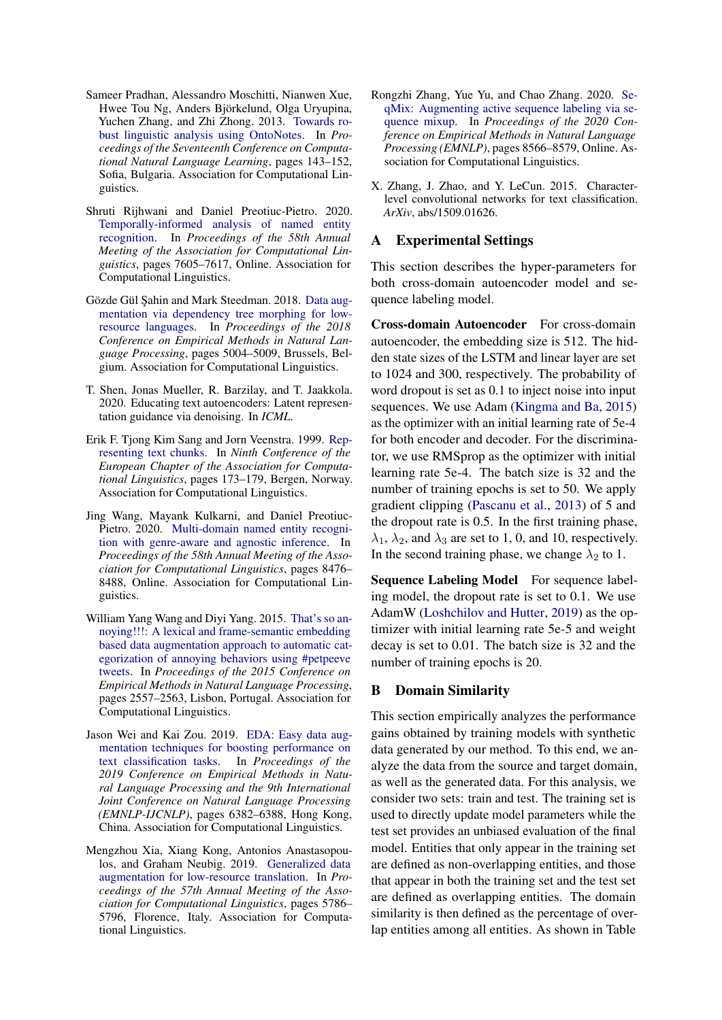- <span id="page-9-10"></span>Sameer Pradhan, Alessandro Moschitti, Nianwen Xue, Hwee Tou Ng, Anders Björkelund, Olga Uryupina, Yuchen Zhang, and Zhi Zhong. 2013. [Towards ro](https://www.aclweb.org/anthology/W13-3516)[bust linguistic analysis using OntoNotes.](https://www.aclweb.org/anthology/W13-3516) In *Proceedings of the Seventeenth Conference on Computational Natural Language Learning*, pages 143–152, Sofia, Bulgaria. Association for Computational Linguistics.
- <span id="page-9-0"></span>Shruti Rijhwani and Daniel Preotiuc-Pietro. 2020. [Temporally-informed analysis of named entity](https://doi.org/10.18653/v1/2020.acl-main.680) [recognition.](https://doi.org/10.18653/v1/2020.acl-main.680) In *Proceedings of the 58th Annual Meeting of the Association for Computational Linguistics*, pages 7605–7617, Online. Association for Computational Linguistics.
- <span id="page-9-4"></span>Gözde Gül Şahin and Mark Steedman. 2018. [Data aug](https://doi.org/10.18653/v1/D18-1545)[mentation via dependency tree morphing for low](https://doi.org/10.18653/v1/D18-1545)[resource languages.](https://doi.org/10.18653/v1/D18-1545) In *Proceedings of the 2018 Conference on Empirical Methods in Natural Language Processing*, pages 5004–5009, Brussels, Belgium. Association for Computational Linguistics.
- <span id="page-9-9"></span>T. Shen, Jonas Mueller, R. Barzilay, and T. Jaakkola. 2020. Educating text autoencoders: Latent representation guidance via denoising. In *ICML*.
- <span id="page-9-8"></span>Erik F. Tjong Kim Sang and Jorn Veenstra. 1999. [Rep](https://www.aclweb.org/anthology/E99-1023)[resenting text chunks.](https://www.aclweb.org/anthology/E99-1023) In *Ninth Conference of the European Chapter of the Association for Computational Linguistics*, pages 173–179, Bergen, Norway. Association for Computational Linguistics.
- <span id="page-9-7"></span>Jing Wang, Mayank Kulkarni, and Daniel Preotiuc-Pietro. 2020. [Multi-domain named entity recogni](https://doi.org/10.18653/v1/2020.acl-main.750)[tion with genre-aware and agnostic inference.](https://doi.org/10.18653/v1/2020.acl-main.750) In *Proceedings of the 58th Annual Meeting of the Association for Computational Linguistics*, pages 8476– 8488, Online. Association for Computational Linguistics.
- <span id="page-9-5"></span>William Yang Wang and Diyi Yang. 2015. [That's so an](https://doi.org/10.18653/v1/D15-1306)[noying!!!: A lexical and frame-semantic embedding](https://doi.org/10.18653/v1/D15-1306) [based data augmentation approach to automatic cat](https://doi.org/10.18653/v1/D15-1306)[egorization of annoying behaviors using #petpeeve](https://doi.org/10.18653/v1/D15-1306) [tweets.](https://doi.org/10.18653/v1/D15-1306) In *Proceedings of the 2015 Conference on Empirical Methods in Natural Language Processing*, pages 2557–2563, Lisbon, Portugal. Association for Computational Linguistics.
- <span id="page-9-2"></span>Jason Wei and Kai Zou. 2019. [EDA: Easy data aug](https://doi.org/10.18653/v1/D19-1670)[mentation techniques for boosting performance on](https://doi.org/10.18653/v1/D19-1670) [text classification tasks.](https://doi.org/10.18653/v1/D19-1670) In *Proceedings of the 2019 Conference on Empirical Methods in Natural Language Processing and the 9th International Joint Conference on Natural Language Processing (EMNLP-IJCNLP)*, pages 6382–6388, Hong Kong, China. Association for Computational Linguistics.
- <span id="page-9-3"></span>Mengzhou Xia, Xiang Kong, Antonios Anastasopoulos, and Graham Neubig. 2019. [Generalized data](https://doi.org/10.18653/v1/P19-1579) [augmentation for low-resource translation.](https://doi.org/10.18653/v1/P19-1579) In *Proceedings of the 57th Annual Meeting of the Association for Computational Linguistics*, pages 5786– 5796, Florence, Italy. Association for Computational Linguistics.
- <span id="page-9-6"></span>Rongzhi Zhang, Yue Yu, and Chao Zhang. 2020. [Se](https://doi.org/10.18653/v1/2020.emnlp-main.691)[qMix: Augmenting active sequence labeling via se](https://doi.org/10.18653/v1/2020.emnlp-main.691)[quence mixup.](https://doi.org/10.18653/v1/2020.emnlp-main.691) In *Proceedings of the 2020 Conference on Empirical Methods in Natural Language Processing (EMNLP)*, pages 8566–8579, Online. Association for Computational Linguistics.
- <span id="page-9-1"></span>X. Zhang, J. Zhao, and Y. LeCun. 2015. Characterlevel convolutional networks for text classification. *ArXiv*, abs/1509.01626.

# <span id="page-9-11"></span>A Experimental Settings

This section describes the hyper-parameters for both cross-domain autoencoder model and sequence labeling model.

Cross-domain Autoencoder For cross-domain autoencoder, the embedding size is 512. The hidden state sizes of the LSTM and linear layer are set to 1024 and 300, respectively. The probability of word dropout is set as 0.1 to inject noise into input sequences. We use Adam [\(Kingma and Ba,](#page-8-14) [2015\)](#page-8-14) as the optimizer with an initial learning rate of 5e-4 for both encoder and decoder. For the discriminator, we use RMSprop as the optimizer with initial learning rate 5e-4. The batch size is 32 and the number of training epochs is set to 50. We apply gradient clipping [\(Pascanu et al.,](#page-8-15) [2013\)](#page-8-15) of 5 and the dropout rate is 0.5. In the first training phase,  $\lambda_1$ ,  $\lambda_2$ , and  $\lambda_3$  are set to 1, 0, and 10, respectively. In the second training phase, we change  $\lambda_2$  to 1.

Sequence Labeling Model For sequence labeling model, the dropout rate is set to 0.1. We use AdamW [\(Loshchilov and Hutter,](#page-8-16) [2019\)](#page-8-16) as the optimizer with initial learning rate 5e-5 and weight decay is set to 0.01. The batch size is 32 and the number of training epochs is 20.

### <span id="page-9-12"></span>B Domain Similarity

This section empirically analyzes the performance gains obtained by training models with synthetic data generated by our method. To this end, we analyze the data from the source and target domain, as well as the generated data. For this analysis, we consider two sets: train and test. The training set is used to directly update model parameters while the test set provides an unbiased evaluation of the final model. Entities that only appear in the training set are defined as non-overlapping entities, and those that appear in both the training set and the test set are defined as overlapping entities. The domain similarity is then defined as the percentage of overlap entities among all entities. As shown in Table